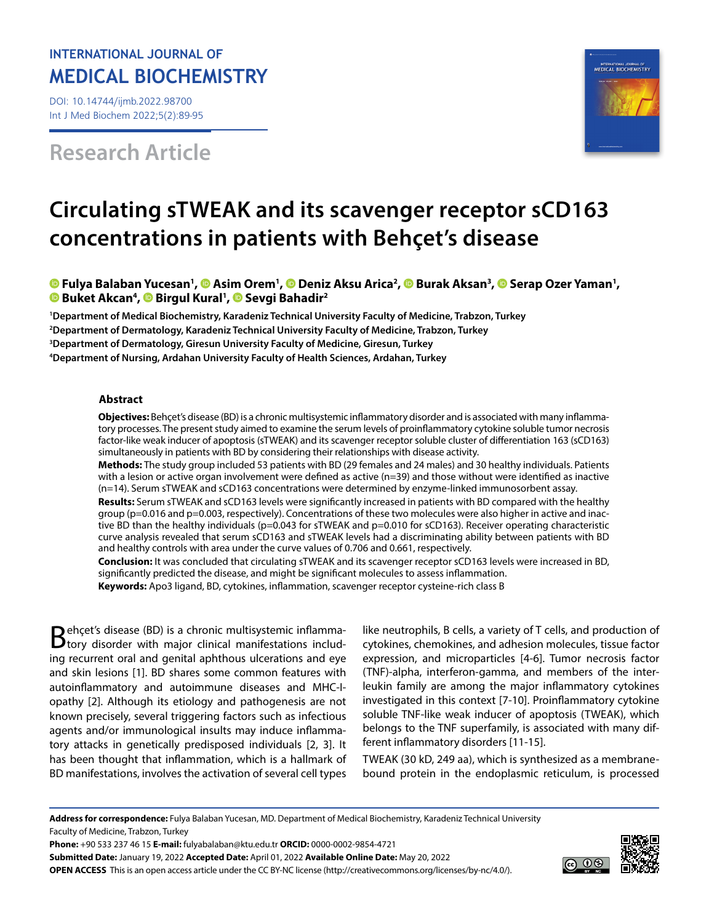# **INTERNATIONAL JOURNAL OF MEDICAL BIOCHEMISTRY**

DOI: 10.14744/ijmb.2022.98700 Int J Med Biochem 2022;5(2):89-95

**Research Article**



# **Circulating sTWEAK and its scavenger receptor sCD163 concentrations in patients with Behçet's disease**

# *FulyaBalaban Yucesan<sup>1</sup>[,](https://orcid.org/0000-0001-8450-5783) © Asim Orem<sup>1</sup>, © Deniz Aksu Arica<sup>2</sup>, © Burak Aksan<sup>3</sup>, © Serap Ozer Yaman<sup>1</sup>,* **Buket Akcan4 , [B](https://orcid.org/0000-0003-0730-9660)irgul Kural1 , [S](https://orcid.org/0000-0002-1502-8933)evgi Bahadir2**

 **Department of Medical Biochemistry, Karadeniz Technical University Faculty of Medicine, Trabzon, Turkey Department of Dermatology, Karadeniz Technical University Faculty of Medicine, Trabzon, Turkey Department of Dermatology, Giresun University Faculty of Medicine, Giresun, Turkey Department of Nursing, Ardahan University Faculty of Health Sciences, Ardahan, Turkey**

#### **Abstract**

**Objectives:** Behçet's disease (BD) is a chronic multisystemic inflammatory disorder and is associated with many inflammatory processes. The present study aimed to examine the serum levels of proinflammatory cytokine soluble tumor necrosis factor-like weak inducer of apoptosis (sTWEAK) and its scavenger receptor soluble cluster of differentiation 163 (sCD163) simultaneously in patients with BD by considering their relationships with disease activity.

**Methods:** The study group included 53 patients with BD (29 females and 24 males) and 30 healthy individuals. Patients with a lesion or active organ involvement were defined as active (n=39) and those without were identified as inactive (n=14). Serum sTWEAK and sCD163 concentrations were determined by enzyme-linked immunosorbent assay. **Results:** Serum sTWEAK and sCD163 levels were significantly increased in patients with BD compared with the healthy group (p=0.016 and p=0.003, respectively). Concentrations of these two molecules were also higher in active and inactive BD than the healthy individuals (p=0.043 for sTWEAK and p=0.010 for sCD163). Receiver operating characteristic curve analysis revealed that serum sCD163 and sTWEAK levels had a discriminating ability between patients with BD

and healthy controls with area under the curve values of 0.706 and 0.661, respectively. **Conclusion:** It was concluded that circulating sTWEAK and its scavenger receptor sCD163 levels were increased in BD,

significantly predicted the disease, and might be significant molecules to assess inflammation. **Keywords:** Apo3 ligand, BD, cytokines, inflammation, scavenger receptor cysteine-rich class B

Behçet's disease (BD) is a chronic multisystemic inflamma-<br>tory disorder with major clinical manifestations including recurrent oral and genital aphthous ulcerations and eye and skin lesions [1]. BD shares some common features with autoinflammatory and autoimmune diseases and MHC-Iopathy [2]. Although its etiology and pathogenesis are not known precisely, several triggering factors such as infectious agents and/or immunological insults may induce inflammatory attacks in genetically predisposed individuals [2, 3]. It has been thought that inflammation, which is a hallmark of BD manifestations, involves the activation of several cell types

like neutrophils, B cells, a variety of T cells, and production of cytokines, chemokines, and adhesion molecules, tissue factor expression, and microparticles [4-6]. Tumor necrosis factor (TNF)-alpha, interferon-gamma, and members of the interleukin family are among the major inflammatory cytokines investigated in this context [7-10]. Proinflammatory cytokine soluble TNF-like weak inducer of apoptosis (TWEAK), which belongs to the TNF superfamily, is associated with many different inflammatory disorders [11-15].

TWEAK (30 kD, 249 aa), which is synthesized as a membranebound protein in the endoplasmic reticulum, is processed

**Phone:** +90 533 237 46 15 **E-mail:** fulyabalaban@ktu.edu.tr **ORCID:** 0000-0002-9854-4721



**Address for correspondence:** Fulya Balaban Yucesan, MD. Department of Medical Biochemistry, Karadeniz Technical University Faculty of Medicine, Trabzon, Turkey

**Submitted Date:** January 19, 2022 **Accepted Date:** April 01, 2022 **Available Online Date:** May 20, 2022 **OPEN ACCESS** This is an open access article under the CC BY-NC license (http://creativecommons.org/licenses/by-nc/4.0/).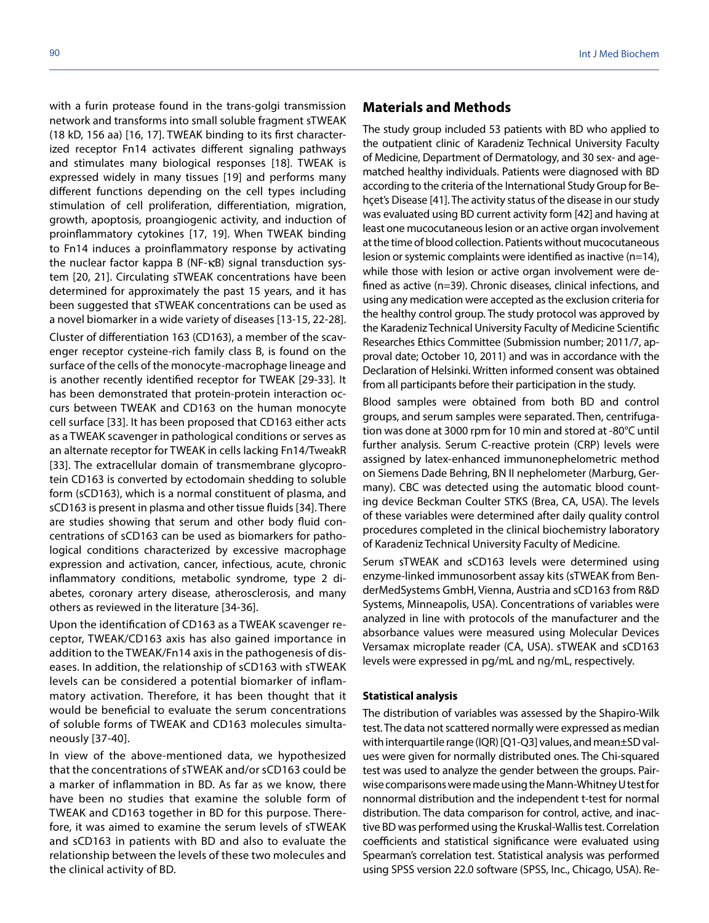with a furin protease found in the trans-golgi transmission network and transforms into small soluble fragment sTWEAK (18 kD, 156 aa) [16, 17]. TWEAK binding to its first characterized receptor Fn14 activates different signaling pathways and stimulates many biological responses [18]. TWEAK is expressed widely in many tissues [19] and performs many different functions depending on the cell types including stimulation of cell proliferation, differentiation, migration, growth, apoptosis, proangiogenic activity, and induction of proinflammatory cytokines [17, 19]. When TWEAK binding to Fn14 induces a proinflammatory response by activating the nuclear factor kappa B (NF- $\kappa$ B) signal transduction system [20, 21]. Circulating sTWEAK concentrations have been determined for approximately the past 15 years, and it has been suggested that sTWEAK concentrations can be used as a novel biomarker in a wide variety of diseases [13-15, 22-28].

Cluster of differentiation 163 (CD163), a member of the scavenger receptor cysteine-rich family class B, is found on the surface of the cells of the monocyte-macrophage lineage and is another recently identified receptor for TWEAK [29-33]. It has been demonstrated that protein-protein interaction occurs between TWEAK and CD163 on the human monocyte cell surface [33]. It has been proposed that CD163 either acts as a TWEAK scavenger in pathological conditions or serves as an alternate receptor for TWEAK in cells lacking Fn14/TweakR [33]. The extracellular domain of transmembrane glycoprotein CD163 is converted by ectodomain shedding to soluble form (sCD163), which is a normal constituent of plasma, and sCD163 is present in plasma and other tissue fluids [34]. There are studies showing that serum and other body fluid concentrations of sCD163 can be used as biomarkers for pathological conditions characterized by excessive macrophage expression and activation, cancer, infectious, acute, chronic inflammatory conditions, metabolic syndrome, type 2 diabetes, coronary artery disease, atherosclerosis, and many others as reviewed in the literature [34-36].

Upon the identification of CD163 as a TWEAK scavenger receptor, TWEAK/CD163 axis has also gained importance in addition to the TWEAK/Fn14 axis in the pathogenesis of diseases. In addition, the relationship of sCD163 with sTWEAK levels can be considered a potential biomarker of inflammatory activation. Therefore, it has been thought that it would be beneficial to evaluate the serum concentrations of soluble forms of TWEAK and CD163 molecules simultaneously [37-40].

In view of the above-mentioned data, we hypothesized that the concentrations of sTWEAK and/or sCD163 could be a marker of inflammation in BD. As far as we know, there have been no studies that examine the soluble form of TWEAK and CD163 together in BD for this purpose. Therefore, it was aimed to examine the serum levels of sTWEAK and sCD163 in patients with BD and also to evaluate the relationship between the levels of these two molecules and the clinical activity of BD.

#### 90 Int J Med Biochem

#### **Materials and Methods**

The study group included 53 patients with BD who applied to the outpatient clinic of Karadeniz Technical University Faculty of Medicine, Department of Dermatology, and 30 sex- and agematched healthy individuals. Patients were diagnosed with BD according to the criteria of the International Study Group for Behçet's Disease [41]. The activity status of the disease in our study was evaluated using BD current activity form [42] and having at least one mucocutaneous lesion or an active organ involvement at the time of blood collection. Patients without mucocutaneous lesion or systemic complaints were identified as inactive (n=14), while those with lesion or active organ involvement were defined as active (n=39). Chronic diseases, clinical infections, and using any medication were accepted as the exclusion criteria for the healthy control group. The study protocol was approved by the Karadeniz Technical University Faculty of Medicine Scientific Researches Ethics Committee (Submission number; 2011/7, approval date; October 10, 2011) and was in accordance with the Declaration of Helsinki. Written informed consent was obtained from all participants before their participation in the study.

Blood samples were obtained from both BD and control groups, and serum samples were separated. Then, centrifugation was done at 3000 rpm for 10 min and stored at -80°C until further analysis. Serum C-reactive protein (CRP) levels were assigned by latex-enhanced immunonephelometric method on Siemens Dade Behring, BN II nephelometer (Marburg, Germany). CBC was detected using the automatic blood counting device Beckman Coulter STKS (Brea, CA, USA). The levels of these variables were determined after daily quality control procedures completed in the clinical biochemistry laboratory of Karadeniz Technical University Faculty of Medicine.

Serum sTWEAK and sCD163 levels were determined using enzyme-linked immunosorbent assay kits (sTWEAK from BenderMedSystems GmbH, Vienna, Austria and sCD163 from R&D Systems, Minneapolis, USA). Concentrations of variables were analyzed in line with protocols of the manufacturer and the absorbance values were measured using Molecular Devices Versamax microplate reader (CA, USA). sTWEAK and sCD163 levels were expressed in pg/mL and ng/mL, respectively.

#### **Statistical analysis**

The distribution of variables was assessed by the Shapiro-Wilk test. The data not scattered normally were expressed as median with interquartile range (IQR) [Q1-Q3] values, and mean±SD values were given for normally distributed ones. The Chi-squared test was used to analyze the gender between the groups. Pairwise comparisons were made using the Mann-Whitney U test for nonnormal distribution and the independent t-test for normal distribution. The data comparison for control, active, and inactive BD was performed using the Kruskal-Wallis test. Correlation coefficients and statistical significance were evaluated using Spearman's correlation test. Statistical analysis was performed using SPSS version 22.0 software (SPSS, Inc., Chicago, USA). Re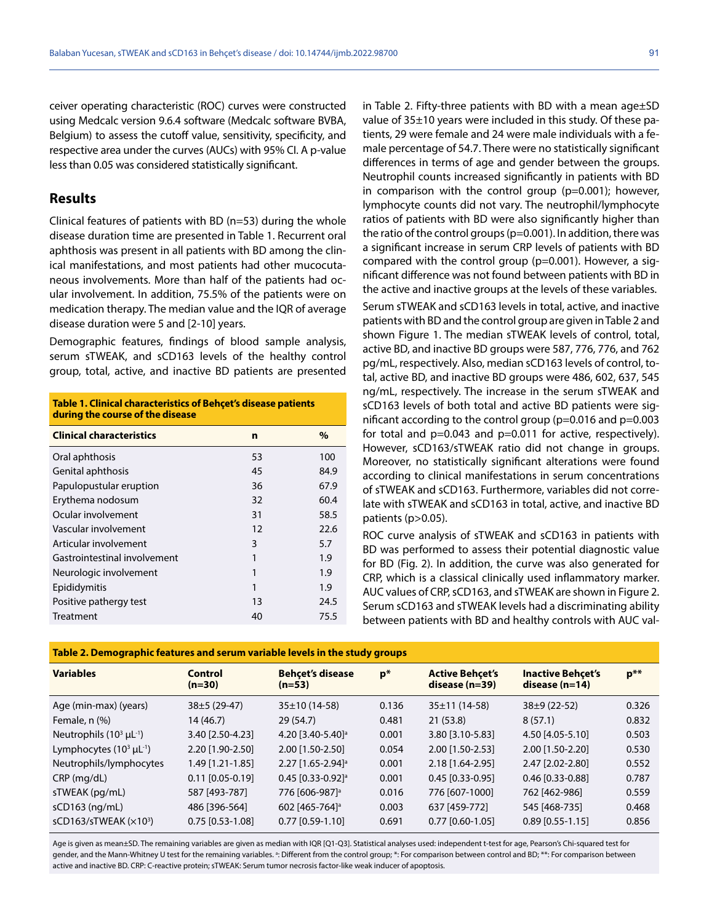ceiver operating characteristic (ROC) curves were constructed using Medcalc version 9.6.4 software (Medcalc software BVBA, Belgium) to assess the cutoff value, sensitivity, specificity, and respective area under the curves (AUCs) with 95% CI. A p-value less than 0.05 was considered statistically significant.

#### **Results**

Clinical features of patients with BD (n=53) during the whole disease duration time are presented in Table 1. Recurrent oral aphthosis was present in all patients with BD among the clinical manifestations, and most patients had other mucocutaneous involvements. More than half of the patients had ocular involvement. In addition, 75.5% of the patients were on medication therapy. The median value and the IQR of average disease duration were 5 and [2-10] years.

Demographic features, findings of blood sample analysis, serum sTWEAK, and sCD163 levels of the healthy control group, total, active, and inactive BD patients are presented

| Table 1. Clinical characteristics of Behçet's disease patients<br>during the course of the disease |    |      |  |  |  |
|----------------------------------------------------------------------------------------------------|----|------|--|--|--|
| <b>Clinical characteristics</b>                                                                    | n  | $\%$ |  |  |  |
| Oral aphthosis                                                                                     | 53 | 100  |  |  |  |
| Genital aphthosis                                                                                  | 45 | 84.9 |  |  |  |
| Papulopustular eruption                                                                            | 36 | 67.9 |  |  |  |
| Erythema nodosum                                                                                   | 32 | 60.4 |  |  |  |
| Ocular involvement                                                                                 | 31 | 58.5 |  |  |  |
| Vascular involvement                                                                               | 12 | 22.6 |  |  |  |
| Articular involvement                                                                              | 3  | 5.7  |  |  |  |
| Gastrointestinal involvement                                                                       | 1  | 1.9  |  |  |  |
| Neurologic involvement                                                                             | 1  | 1.9  |  |  |  |
| Epididymitis                                                                                       | 1  | 1.9  |  |  |  |
| Positive pathergy test                                                                             | 13 | 24.5 |  |  |  |
| Treatment                                                                                          | 40 | 75.5 |  |  |  |

in Table 2. Fifty-three patients with BD with a mean age±SD value of 35±10 years were included in this study. Of these patients, 29 were female and 24 were male individuals with a female percentage of 54.7. There were no statistically significant differences in terms of age and gender between the groups. Neutrophil counts increased significantly in patients with BD in comparison with the control group (p=0.001); however, lymphocyte counts did not vary. The neutrophil/lymphocyte ratios of patients with BD were also significantly higher than the ratio of the control groups (p=0.001). In addition, there was a significant increase in serum CRP levels of patients with BD compared with the control group (p=0.001). However, a significant difference was not found between patients with BD in the active and inactive groups at the levels of these variables.

Serum sTWEAK and sCD163 levels in total, active, and inactive patients with BD and the control group are given in Table 2 and shown Figure 1. The median sTWEAK levels of control, total, active BD, and inactive BD groups were 587, 776, 776, and 762 pg/mL, respectively. Also, median sCD163 levels of control, total, active BD, and inactive BD groups were 486, 602, 637, 545 ng/mL, respectively. The increase in the serum sTWEAK and sCD163 levels of both total and active BD patients were significant according to the control group (p=0.016 and p=0.003 for total and p=0.043 and p=0.011 for active, respectively). However, sCD163/sTWEAK ratio did not change in groups. Moreover, no statistically significant alterations were found according to clinical manifestations in serum concentrations of sTWEAK and sCD163. Furthermore, variables did not correlate with sTWEAK and sCD163 in total, active, and inactive BD patients (p>0.05).

ROC curve analysis of sTWEAK and sCD163 in patients with BD was performed to assess their potential diagnostic value for BD (Fig. 2). In addition, the curve was also generated for CRP, which is a classical clinically used inflammatory marker. AUC values of CRP, sCD163, and sTWEAK are shown in Figure 2. Serum sCD163 and sTWEAK levels had a discriminating ability between patients with BD and healthy controls with AUC val-

| Table 2. Demographic features and serum variable levels in the study groups |                                     |       |                                          |                                              |                |  |  |
|-----------------------------------------------------------------------------|-------------------------------------|-------|------------------------------------------|----------------------------------------------|----------------|--|--|
| Control<br>$(n=30)$                                                         | <b>Behcet's disease</b><br>$(n=53)$ | $p*$  | <b>Active Behcet's</b><br>disease (n=39) | <b>Inactive Behcet's</b><br>$disease (n=14)$ | $p^{\ast\ast}$ |  |  |
| $38±5(29-47)$                                                               | $35\pm10(14-58)$                    | 0.136 | $35 \pm 11$ (14-58)                      | $38+9(22-52)$                                | 0.326          |  |  |
| 14 (46.7)                                                                   | 29(54.7)                            | 0.481 | 21(53.8)                                 | 8(57.1)                                      | 0.832          |  |  |
| 3.40 [2.50-4.23]                                                            | 4.20 [3.40-5.40] <sup>a</sup>       | 0.001 | 3.80 [3.10-5.83]                         | 4.50 [4.05-5.10]                             | 0.503          |  |  |
| 2.20 [1.90-2.50]                                                            | 2.00 [1.50-2.50]                    | 0.054 | 2.00 [1.50-2.53]                         | 2.00 [1.50-2.20]                             | 0.530          |  |  |
| 1.49 [1.21-1.85]                                                            | 2.27 [1.65-2.94] <sup>a</sup>       | 0.001 | 2.18 [1.64-2.95]                         | 2.47 [2.02-2.80]                             | 0.552          |  |  |
| 0.11 [0.05-0.19]                                                            | $0.45$ [0.33-0.92] <sup>a</sup>     | 0.001 | $0.45$ [0.33-0.95]                       | 0.46 [0.33-0.88]                             | 0.787          |  |  |
| 587 [493-787]                                                               | 776 [606-987] <sup>a</sup>          | 0.016 | 776 [607-1000]                           | 762 [462-986]                                | 0.559          |  |  |
| 486 [396-564]                                                               | 602 [465-764] <sup>a</sup>          | 0.003 | 637 [459-772]                            | 545 [468-735]                                | 0.468          |  |  |
| $0.75$ [0.53-1.08]                                                          | $0.77$ [0.59-1.10]                  | 0.691 | $0.77$ [0.60-1.05]                       | $0.89$ [0.55-1.15]                           | 0.856          |  |  |
|                                                                             |                                     |       |                                          |                                              |                |  |  |

Age is given as mean±SD. The remaining variables are given as median with IOR [O1-O3]. Statistical analyses used: independent t-test for age, Pearson's Chi-squared test for gender, and the Mann-Whitney U test for the remaining variables. <sup>a</sup>: Different from the control group; \*: For comparison between control and BD; \*\*: For comparison between active and inactive BD. CRP: C-reactive protein; sTWEAK: Serum tumor necrosis factor-like weak inducer of apoptosis.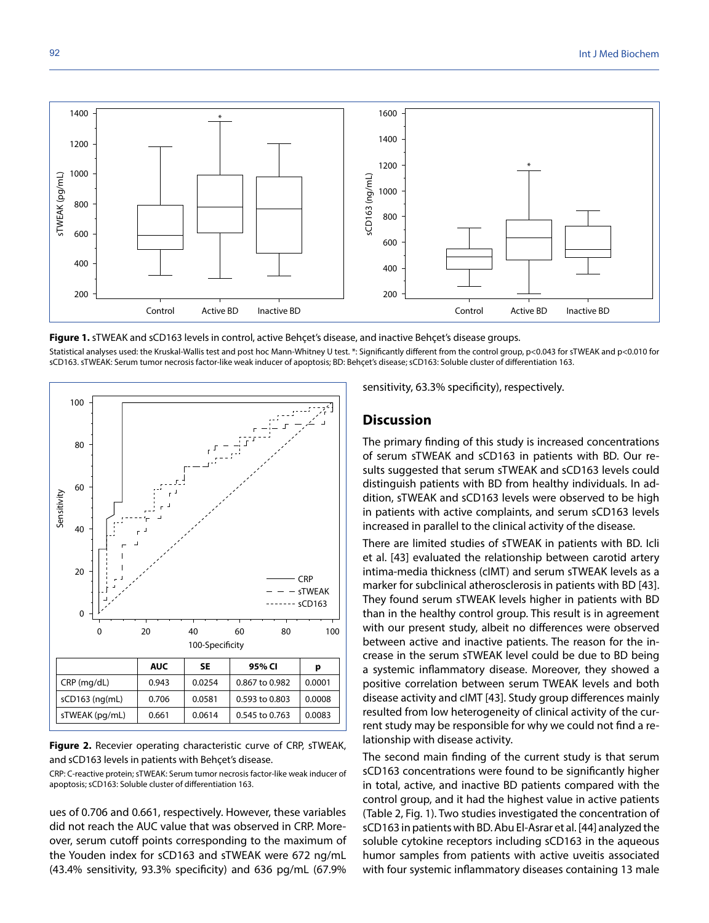

**Figure 1.** sTWEAK and sCD163 levels in control, active Behçet's disease, and inactive Behçet's disease groups.

Statistical analyses used: the Kruskal-Wallis test and post hoc Mann-Whitney U test. \*: Significantly different from the control group, p<0.043 for sTWEAK and p<0.010 for



**Figure 2.** Recevier operating characteristic curve of CRP, sTWEAK, and sCD163 levels in patients with Behçet's disease.

CRP: C-reactive protein; sTWEAK: Serum tumor necrosis factor-like weak inducer of

ues of 0.706 and 0.661, respectively. However, these variables did not reach the AUC value that was observed in CRP. Moreover, serum cutoff points corresponding to the maximum of the Youden index for sCD163 and sTWEAK were 672 ng/mL (43.4% sensitivity, 93.3% specificity) and 636 pg/mL (67.9% sensitivity, 63.3% specificity), respectively.

## **Discussion**

The primary finding of this study is increased concentrations of serum sTWEAK and sCD163 in patients with BD. Our results suggested that serum sTWEAK and sCD163 levels could distinguish patients with BD from healthy individuals. In addition, sTWEAK and sCD163 levels were observed to be high in patients with active complaints, and serum sCD163 levels increased in parallel to the clinical activity of the disease.

There are limited studies of sTWEAK in patients with BD. Icli et al. [43] evaluated the relationship between carotid artery intima-media thickness (cIMT) and serum sTWEAK levels as a marker for subclinical atherosclerosis in patients with BD [43]. They found serum sTWEAK levels higher in patients with BD than in the healthy control group. This result is in agreement with our present study, albeit no differences were observed between active and inactive patients. The reason for the increase in the serum sTWEAK level could be due to BD being a systemic inflammatory disease. Moreover, they showed a positive correlation between serum TWEAK levels and both disease activity and cIMT [43]. Study group differences mainly resulted from low heterogeneity of clinical activity of the current study may be responsible for why we could not find a relationship with disease activity.

The second main finding of the current study is that serum sCD163 concentrations were found to be significantly higher in total, active, and inactive BD patients compared with the control group, and it had the highest value in active patients (Table 2, Fig. 1). Two studies investigated the concentration of sCD163 in patients with BD. Abu El-Asrar et al. [44] analyzed the soluble cytokine receptors including sCD163 in the aqueous humor samples from patients with active uveitis associated with four systemic inflammatory diseases containing 13 male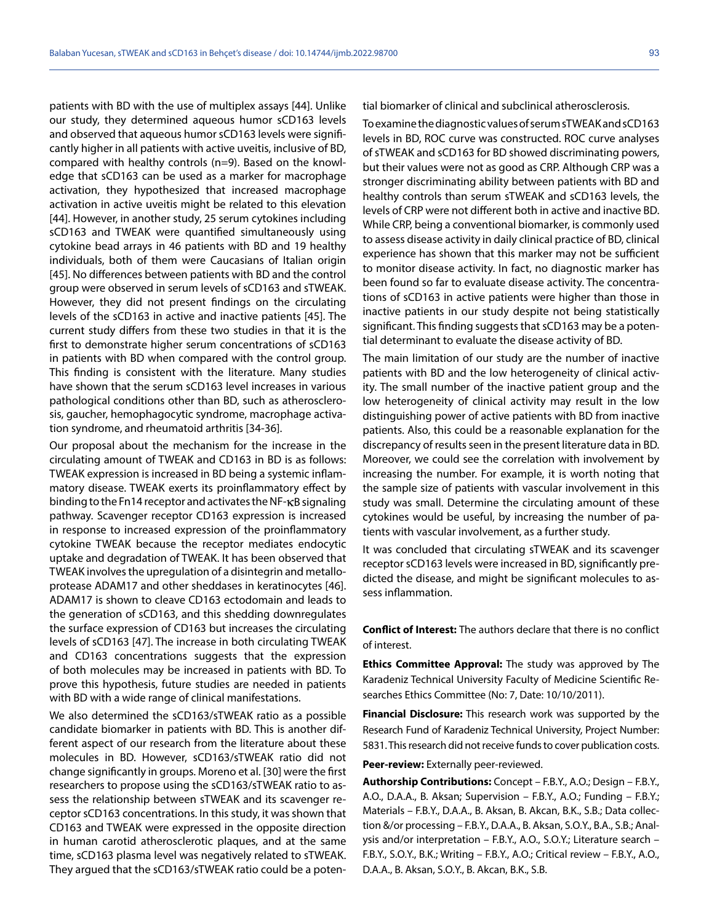patients with BD with the use of multiplex assays [44]. Unlike our study, they determined aqueous humor sCD163 levels and observed that aqueous humor sCD163 levels were significantly higher in all patients with active uveitis, inclusive of BD, compared with healthy controls (n=9). Based on the knowledge that sCD163 can be used as a marker for macrophage activation, they hypothesized that increased macrophage activation in active uveitis might be related to this elevation [44]. However, in another study, 25 serum cytokines including sCD163 and TWEAK were quantified simultaneously using cytokine bead arrays in 46 patients with BD and 19 healthy individuals, both of them were Caucasians of Italian origin [45]. No differences between patients with BD and the control group were observed in serum levels of sCD163 and sTWEAK. However, they did not present findings on the circulating levels of the sCD163 in active and inactive patients [45]. The current study differs from these two studies in that it is the first to demonstrate higher serum concentrations of sCD163 in patients with BD when compared with the control group. This finding is consistent with the literature. Many studies have shown that the serum sCD163 level increases in various pathological conditions other than BD, such as atherosclerosis, gaucher, hemophagocytic syndrome, macrophage activation syndrome, and rheumatoid arthritis [34-36].

Our proposal about the mechanism for the increase in the circulating amount of TWEAK and CD163 in BD is as follows: TWEAK expression is increased in BD being a systemic inflammatory disease. TWEAK exerts its proinflammatory effect by binding to the Fn14 receptor and activates the NF- $\kappa$ B signaling pathway. Scavenger receptor CD163 expression is increased in response to increased expression of the proinflammatory cytokine TWEAK because the receptor mediates endocytic uptake and degradation of TWEAK. It has been observed that TWEAK involves the upregulation of a disintegrin and metalloprotease ADAM17 and other sheddases in keratinocytes [46]. ADAM17 is shown to cleave CD163 ectodomain and leads to the generation of sCD163, and this shedding downregulates the surface expression of CD163 but increases the circulating levels of sCD163 [47]. The increase in both circulating TWEAK and CD163 concentrations suggests that the expression of both molecules may be increased in patients with BD. To prove this hypothesis, future studies are needed in patients with BD with a wide range of clinical manifestations.

We also determined the sCD163/sTWEAK ratio as a possible candidate biomarker in patients with BD. This is another different aspect of our research from the literature about these molecules in BD. However, sCD163/sTWEAK ratio did not change significantly in groups. Moreno et al. [30] were the first researchers to propose using the sCD163/sTWEAK ratio to assess the relationship between sTWEAK and its scavenger receptor sCD163 concentrations. In this study, it was shown that CD163 and TWEAK were expressed in the opposite direction in human carotid atherosclerotic plaques, and at the same time, sCD163 plasma level was negatively related to sTWEAK. They argued that the sCD163/sTWEAK ratio could be a potential biomarker of clinical and subclinical atherosclerosis.

To examine the diagnostic values of serum sTWEAK and sCD163 levels in BD, ROC curve was constructed. ROC curve analyses of sTWEAK and sCD163 for BD showed discriminating powers, but their values were not as good as CRP. Although CRP was a stronger discriminating ability between patients with BD and healthy controls than serum sTWEAK and sCD163 levels, the levels of CRP were not different both in active and inactive BD. While CRP, being a conventional biomarker, is commonly used to assess disease activity in daily clinical practice of BD, clinical experience has shown that this marker may not be sufficient to monitor disease activity. In fact, no diagnostic marker has been found so far to evaluate disease activity. The concentrations of sCD163 in active patients were higher than those in inactive patients in our study despite not being statistically significant. This finding suggests that sCD163 may be a potential determinant to evaluate the disease activity of BD.

The main limitation of our study are the number of inactive patients with BD and the low heterogeneity of clinical activity. The small number of the inactive patient group and the low heterogeneity of clinical activity may result in the low distinguishing power of active patients with BD from inactive patients. Also, this could be a reasonable explanation for the discrepancy of results seen in the present literature data in BD. Moreover, we could see the correlation with involvement by increasing the number. For example, it is worth noting that the sample size of patients with vascular involvement in this study was small. Determine the circulating amount of these cytokines would be useful, by increasing the number of patients with vascular involvement, as a further study.

It was concluded that circulating sTWEAK and its scavenger receptor sCD163 levels were increased in BD, significantly predicted the disease, and might be significant molecules to assess inflammation.

**Conflict of Interest:** The authors declare that there is no conflict of interest.

**Ethics Committee Approval:** The study was approved by The Karadeniz Technical University Faculty of Medicine Scientific Researches Ethics Committee (No: 7, Date: 10/10/2011).

**Financial Disclosure:** This research work was supported by the Research Fund of Karadeniz Technical University, Project Number: 5831. This research did not receive funds to cover publication costs.

**Peer-review:** Externally peer-reviewed.

**Authorship Contributions:** Concept – F.B.Y., A.O.; Design – F.B.Y., A.O., D.A.A., B. Aksan; Supervision – F.B.Y., A.O.; Funding – F.B.Y.; Materials – F.B.Y., D.A.A., B. Aksan, B. Akcan, B.K., S.B.; Data collection &/or processing – F.B.Y., D.A.A., B. Aksan, S.O.Y., B.A., S.B.; Analysis and/or interpretation – F.B.Y., A.O., S.O.Y.; Literature search – F.B.Y., S.O.Y., B.K.; Writing – F.B.Y., A.O.; Critical review – F.B.Y., A.O., D.A.A., B. Aksan, S.O.Y., B. Akcan, B.K., S.B.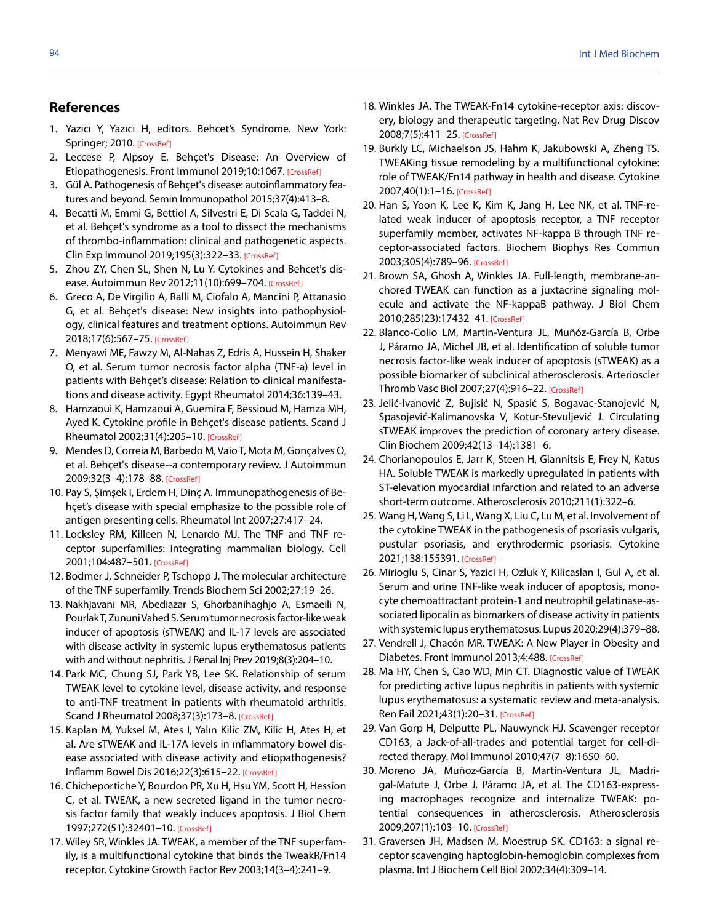### **References**

- 1. Yazıcı Y, Yazıcı H, editors. Behcet's Syndrome. New York: Springer; 2[010. \[CrossRef\]](https://doi.org/10.1007/978-1-4419-5641-5)
- 2. Leccese P, Alpsoy E. Behçet's Disease: An Overview of Etiopathogenesis. Front Immunol 2019;10:106[7. \[CrossRef\]](https://doi.org/10.3389/fimmu.2019.01067)
- 3. Gül A. Pathogenesis of Behçet's disease: autoinflammatory features and beyond. Semin Immunopathol 2015;37(4):413–8.
- 4. Becatti M, Emmi G, Bettiol A, Silvestri E, Di Scala G, Taddei N, et al. Behçet's syndrome as a tool to dissect the mechanisms of thrombo-inflammation: clinical and pathogenetic aspects. Clin Exp Immunol 2019;195(3):322–33[. \[CrossRef\]](https://doi.org/10.1111/cei.13243)
- 5. Zhou ZY, Chen SL, Shen N, Lu Y. Cytokines and Behcet's disease. Autoimmun Rev 2012;11(10):699–70[4. \[CrossRef\]](https://doi.org/10.1016/j.autrev.2011.12.005)
- 6. Greco A, De Virgilio A, Ralli M, Ciofalo A, Mancini P, Attanasio G, et al. Behçet's disease: New insights into pathophysiology, clinical features and treatment options. Autoimmun Rev 2018;17(6):567–7[5. \[CrossRef\]](https://doi.org/10.1016/j.autrev.2017.12.006)
- 7. Menyawi ME, Fawzy M, Al-Nahas Z, Edris A, Hussein H, Shaker O, et al. Serum tumor necrosis factor alpha (TNF-a) level in patients with Behçet's disease: Relation to clinical manifestations and disease activity. Egypt Rheumatol 2014;36:139–43.
- 8. Hamzaoui K, Hamzaoui A, Guemira F, Bessioud M, Hamza MH, Ayed K. Cytokine profile in Behçet's disease patients. Scand J Rheumatol 2002;31(4):205–1[0. \[CrossRef\]](https://doi.org/10.1080/030097402320318387)
- 9. Mendes D, Correia M, Barbedo M, Vaio T, Mota M, Gonçalves O, et al. Behçet's disease--a contemporary review. J Autoimmun 2009;32(3–4):178–88[. \[CrossRef\]](https://doi.org/10.1016/j.jaut.2009.02.011)
- 10. Pay S, Şimşek I, Erdem H, Dinç A. Immunopathogenesis of Behçet's disease with special emphasize to the possible role of antigen presenting cells. Rheumatol Int 2007;27:417–24.
- 11. Locksley RM, Killeen N, Lenardo MJ. The TNF and TNF receptor superfamilies: integrating mammalian biology. Cell 2001;104:487–5[01. \[CrossRef\]](https://doi.org/10.1016/S0092-8674(01)00237-9)
- 12. Bodmer J, Schneider P, Tschopp J. The molecular architecture of the TNF superfamily. Trends Biochem Sci 2002;27:19–26.
- 13. Nakhjavani MR, Abediazar S, Ghorbanihaghjo A, Esmaeili N, Pourlak T, Zununi Vahed S. Serum tumor necrosis factor-like weak inducer of apoptosis (sTWEAK) and IL-17 levels are associated with disease activity in systemic lupus erythematosus patients with and without nephritis. J Renal Inj Prev 2019;8(3):204–10.
- 14. Park MC, Chung SJ, Park YB, Lee SK. Relationship of serum TWEAK level to cytokine level, disease activity, and response to anti-TNF treatment in patients with rheumatoid arthritis. Scand J Rheumatol 2008;37(3):1[73–8. \[CrossRef\]](https://doi.org/10.1080/03009740801898608)
- 15. Kaplan M, Yuksel M, Ates I, Yalın Kilic ZM, Kilic H, Ates H, et al. Are sTWEAK and IL-17A levels in ınflammatory bowel disease associated with disease activity and etiopathogenesis? Inflamm Bowel Dis 2016;22(3):615–2[2. \[CrossRef\]](https://doi.org/10.1097/MIB.0000000000000632)
- 16. Chicheportiche Y, Bourdon PR, Xu H, Hsu YM, Scott H, Hession C, et al. TWEAK, a new secreted ligand in the tumor necrosis factor family that weakly induces apoptosis. J Biol Chem 1997;272(51):32401–1[0. \[CrossRef\]](https://doi.org/10.1074/jbc.272.51.32401)
- 17. Wiley SR, Winkles JA. TWEAK, a member of the TNF superfamily, is a multifunctional cytokine that binds the TweakR/Fn14 receptor. Cytokine Growth Factor Rev 2003;14(3–4):241–9.
- 18. Winkles JA. The TWEAK-Fn14 cytokine-receptor axis: discovery, biology and therapeutic targeting. Nat Rev Drug Discov 2008;7(5):411–2[5. \[CrossRef\]](https://doi.org/10.1038/nrd2488)
- 19. Burkly LC, Michaelson JS, Hahm K, Jakubowski A, Zheng TS. TWEAKing tissue remodeling by a multifunctional cytokine: role of TWEAK/Fn14 pathway in health and disease. Cytokine 2007;40(1):1–16[. \[CrossRef\]](https://doi.org/10.1016/j.cyto.2007.09.007)
- 20. Han S, Yoon K, Lee K, Kim K, Jang H, Lee NK, et al. TNF-related weak inducer of apoptosis receptor, a TNF receptor superfamily member, activates NF-kappa B through TNF receptor-associated factors. Biochem Biophys Res Commun 2003;305(4):789–96. [\[CrossRef\]](https://doi.org/10.1016/S0006-291X(03)00852-0)
- 21. Brown SA, Ghosh A, Winkles JA. Full-length, membrane-anchored TWEAK can function as a juxtacrine signaling molecule and activate the NF-kappaB pathway. J Biol Chem 2010;285(23):17432–41[. \[CrossRef\]](https://doi.org/10.1074/jbc.M110.131979)
- 22. Blanco-Colio LM, Martín-Ventura JL, Muñóz-García B, Orbe J, Páramo JA, Michel JB, et al. Identification of soluble tumor necrosis factor-like weak inducer of apoptosis (sTWEAK) as a possible biomarker of subclinical atherosclerosis. Arterioscler Thromb Vasc Biol 2007;27(4):916–[22. \[CrossRef\]](https://doi.org/10.1161/01.ATV.0000258972.10109.ff)
- 23. Jelić-Ivanović Z, Bujisić N, Spasić S, Bogavac-Stanojević N, Spasojević-Kalimanovska V, Kotur-Stevuljević J. Circulating sTWEAK improves the prediction of coronary artery disease. Clin Biochem 2009;42(13–14):1381–6.
- 24. Chorianopoulos E, Jarr K, Steen H, Giannitsis E, Frey N, Katus HA. Soluble TWEAK is markedly upregulated in patients with ST-elevation myocardial infarction and related to an adverse short-term outcome. Atherosclerosis 2010;211(1):322–6.
- 25. Wang H, Wang S, Li L, Wang X, Liu C, Lu M, et al. Involvement of the cytokine TWEAK in the pathogenesis of psoriasis vulgaris, pustular psoriasis, and erythrodermic psoriasis. Cytokine 2021;138:15539[1. \[CrossRef\]](https://doi.org/10.1016/j.cyto.2020.155391)
- 26. Mirioglu S, Cinar S, Yazici H, Ozluk Y, Kilicaslan I, Gul A, et al. Serum and urine TNF-like weak inducer of apoptosis, monocyte chemoattractant protein-1 and neutrophil gelatinase-associated lipocalin as biomarkers of disease activity in patients with systemic lupus erythematosus. Lupus 2020;29(4):379–88.
- 27. Vendrell J, Chacón MR. TWEAK: A New Player in Obesity and Diabetes. Front Immunol 2013;4:48[8. \[CrossRef\]](https://doi.org/10.3389/fimmu.2013.00488)
- 28. Ma HY, Chen S, Cao WD, Min CT. Diagnostic value of TWEAK for predicting active lupus nephritis in patients with systemic lupus erythematosus: a systematic review and meta-analysis. Ren Fail 2021;43(1):20–31[. \[CrossRef\]](https://doi.org/10.1080/0886022X.2020.1853568)
- 29. Van Gorp H, Delputte PL, Nauwynck HJ. Scavenger receptor CD163, a Jack-of-all-trades and potential target for cell-directed therapy. Mol Immunol 2010;47(7–8):1650–60.
- 30. Moreno JA, Muñoz-García B, Martín-Ventura JL, Madrigal-Matute J, Orbe J, Páramo JA, et al. The CD163-expressing macrophages recognize and internalize TWEAK: potential consequences in atherosclerosis. Atherosclerosis 2009;207(1):103–1[0. \[CrossRef\]](https://doi.org/10.1016/j.atherosclerosis.2009.04.033)
- 31. Graversen JH, Madsen M, Moestrup SK. CD163: a signal receptor scavenging haptoglobin-hemoglobin complexes from plasma. Int J Biochem Cell Biol 2002;34(4):309–14.